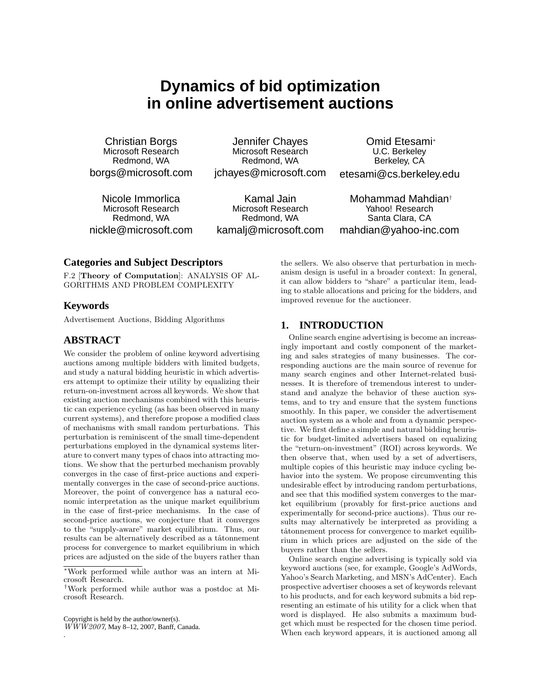# **Dynamics of bid optimization in online advertisement auctions**

Christian Borgs Microsoft Research Redmond, WA borgs@microsoft.com

Jennifer Chayes Microsoft Research Redmond, WA jchayes@microsoft.com

Nicole Immorlica Microsoft Research Redmond, WA nickle@microsoft.com

Kamal Jain Microsoft Research Redmond, WA kamalj@microsoft.com Mohammad Mahdian† Yahoo! Research Santa Clara, CA

Omid Etesami<sup>∗</sup> U.C. Berkeley Berkeley, CA etesami@cs.berkeley.edu

mahdian@yahoo-inc.com

## **Categories and Subject Descriptors**

F.2 [Theory of Computation]: ANALYSIS OF AL-GORITHMS AND PROBLEM COMPLEXITY

## **Keywords**

Advertisement Auctions, Bidding Algorithms

# **ABSTRACT**

We consider the problem of online keyword advertising auctions among multiple bidders with limited budgets, and study a natural bidding heuristic in which advertisers attempt to optimize their utility by equalizing their return-on-investment across all keywords. We show that existing auction mechanisms combined with this heuristic can experience cycling (as has been observed in many current systems), and therefore propose a modified class of mechanisms with small random perturbations. This perturbation is reminiscent of the small time-dependent perturbations employed in the dynamical systems literature to convert many types of chaos into attracting motions. We show that the perturbed mechanism provably converges in the case of first-price auctions and experimentally converges in the case of second-price auctions. Moreover, the point of convergence has a natural economic interpretation as the unique market equilibrium in the case of first-price mechanisms. In the case of second-price auctions, we conjecture that it converges to the "supply-aware" market equilibrium. Thus, our results can be alternatively described as a tâtonnement process for convergence to market equilibrium in which prices are adjusted on the side of the buyers rather than

Copyright is held by the author/owner(s).

.

WWW2007, May 8–12, 2007, Banff, Canada.

the sellers. We also observe that perturbation in mechanism design is useful in a broader context: In general, it can allow bidders to "share" a particular item, leading to stable allocations and pricing for the bidders, and improved revenue for the auctioneer.

# **1. INTRODUCTION**

Online search engine advertising is become an increasingly important and costly component of the marketing and sales strategies of many businesses. The corresponding auctions are the main source of revenue for many search engines and other Internet-related businesses. It is therefore of tremendous interest to understand and analyze the behavior of these auction systems, and to try and ensure that the system functions smoothly. In this paper, we consider the advertisement auction system as a whole and from a dynamic perspective. We first define a simple and natural bidding heuristic for budget-limited advertisers based on equalizing the "return-on-investment" (ROI) across keywords. We then observe that, when used by a set of advertisers, multiple copies of this heuristic may induce cycling behavior into the system. We propose circumventing this undesirable effect by introducing random perturbations, and see that this modified system converges to the market equilibrium (provably for first-price auctions and experimentally for second-price auctions). Thus our results may alternatively be interpreted as providing a tâtonnement process for convergence to market equilibrium in which prices are adjusted on the side of the buyers rather than the sellers.

Online search engine advertising is typically sold via keyword auctions (see, for example, Google's AdWords, Yahoo's Search Marketing, and MSN's AdCenter). Each prospective advertiser chooses a set of keywords relevant to his products, and for each keyword submits a bid representing an estimate of his utility for a click when that word is displayed. He also submits a maximum budget which must be respected for the chosen time period. When each keyword appears, it is auctioned among all

<sup>∗</sup>Work performed while author was an intern at Microsoft Research.

<sup>†</sup>Work performed while author was a postdoc at Microsoft Research.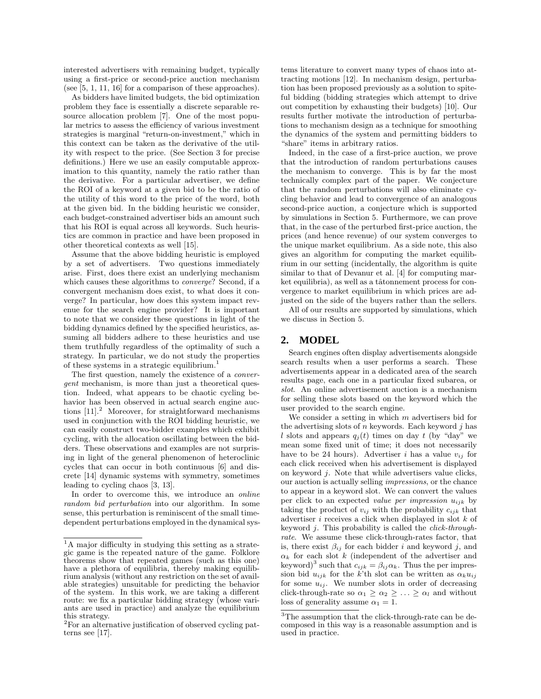interested advertisers with remaining budget, typically using a first-price or second-price auction mechanism (see [5, 1, 11, 16] for a comparison of these approaches).

As bidders have limited budgets, the bid optimization problem they face is essentially a discrete separable resource allocation problem [7]. One of the most popular metrics to assess the efficiency of various investment strategies is marginal "return-on-investment," which in this context can be taken as the derivative of the utility with respect to the price. (See Section 3 for precise definitions.) Here we use an easily computable approximation to this quantity, namely the ratio rather than the derivative. For a particular advertiser, we define the ROI of a keyword at a given bid to be the ratio of the utility of this word to the price of the word, both at the given bid. In the bidding heuristic we consider, each budget-constrained advertiser bids an amount such that his ROI is equal across all keywords. Such heuristics are common in practice and have been proposed in other theoretical contexts as well [15].

Assume that the above bidding heuristic is employed by a set of advertisers. Two questions immediately arise. First, does there exist an underlying mechanism which causes these algorithms to *converge*? Second, if a convergent mechanism does exist, to what does it converge? In particular, how does this system impact revenue for the search engine provider? It is important to note that we consider these questions in light of the bidding dynamics defined by the specified heuristics, assuming all bidders adhere to these heuristics and use them truthfully regardless of the optimality of such a strategy. In particular, we do not study the properties of these systems in a strategic equilibrium.<sup>1</sup>

The first question, namely the existence of a convergent mechanism, is more than just a theoretical question. Indeed, what appears to be chaotic cycling behavior has been observed in actual search engine auctions  $[11]$ <sup>2</sup> Moreover, for straightforward mechanisms used in conjunction with the ROI bidding heuristic, we can easily construct two-bidder examples which exhibit cycling, with the allocation oscillating between the bidders. These observations and examples are not surprising in light of the general phenomenon of heteroclinic cycles that can occur in both continuous [6] and discrete [14] dynamic systems with symmetry, sometimes leading to cycling chaos [3, 13].

In order to overcome this, we introduce an online random bid perturbation into our algorithm. In some sense, this perturbation is reminiscent of the small timedependent perturbations employed in the dynamical sys-

tems literature to convert many types of chaos into attracting motions [12]. In mechanism design, perturbation has been proposed previously as a solution to spiteful bidding (bidding strategies which attempt to drive out competition by exhausting their budgets) [10]. Our results further motivate the introduction of perturbations to mechanism design as a technique for smoothing the dynamics of the system and permitting bidders to "share" items in arbitrary ratios.

Indeed, in the case of a first-price auction, we prove that the introduction of random perturbations causes the mechanism to converge. This is by far the most technically complex part of the paper. We conjecture that the random perturbations will also eliminate cycling behavior and lead to convergence of an analogous second-price auction, a conjecture which is supported by simulations in Section 5. Furthermore, we can prove that, in the case of the perturbed first-price auction, the prices (and hence revenue) of our system converges to the unique market equilibrium. As a side note, this also gives an algorithm for computing the market equilibrium in our setting (incidentally, the algorithm is quite similar to that of Devanur et al. [4] for computing market equilibria), as well as a tâtonnement process for convergence to market equilibrium in which prices are adjusted on the side of the buyers rather than the sellers.

All of our results are supported by simulations, which we discuss in Section 5.

# **2. MODEL**

Search engines often display advertisements alongside search results when a user performs a search. These advertisements appear in a dedicated area of the search results page, each one in a particular fixed subarea, or slot. An online advertisement auction is a mechanism for selling these slots based on the keyword which the user provided to the search engine.

We consider a setting in which  $m$  advertisers bid for the advertising slots of n keywords. Each keyword  $i$  has l slots and appears  $q_i(t)$  times on day t (by "day" we mean some fixed unit of time; it does not necessarily have to be 24 hours). Advertiser i has a value  $v_{ij}$  for each click received when his advertisement is displayed on keyword j. Note that while advertisers value clicks, our auction is actually selling impressions, or the chance to appear in a keyword slot. We can convert the values per click to an expected value per impression  $u_{ijk}$  by taking the product of  $v_{ij}$  with the probability  $c_{ijk}$  that advertiser  $i$  receives a click when displayed in slot  $k$  of keyword j. This probability is called the click-throughrate. We assume these click-through-rates factor, that is, there exist  $\beta_{ij}$  for each bidder i and keyword j, and  $\alpha_k$  for each slot k (independent of the advertiser and keyword)<sup>3</sup> such that  $c_{ijk} = \beta_{ij} \alpha_k$ . Thus the per impression bid  $u_{ijk}$  for the k'th slot can be written as  $\alpha_k u_{ij}$ for some  $u_{ij}$ . We number slots in order of decreasing click-through-rate so  $\alpha_1 \geq \alpha_2 \geq \ldots \geq \alpha_l$  and without loss of generality assume  $\alpha_1 = 1$ .

<sup>&</sup>lt;sup>1</sup>A major difficulty in studying this setting as a strategic game is the repeated nature of the game. Folklore theorems show that repeated games (such as this one) have a plethora of equilibria, thereby making equilibrium analysis (without any restriction on the set of available strategies) unsuitable for predicting the behavior of the system. In this work, we are taking a different route: we fix a particular bidding strategy (whose variants are used in practice) and analyze the equilibrium this strategy.

<sup>2</sup>For an alternative justification of observed cycling patterns see [17].

<sup>3</sup>The assumption that the click-through-rate can be decomposed in this way is a reasonable assumption and is used in practice.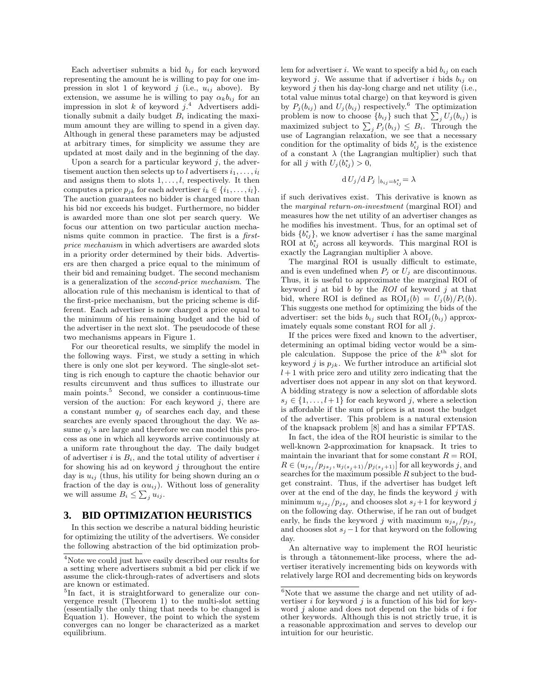Each advertiser submits a bid  $b_{ij}$  for each keyword representing the amount he is willing to pay for one impression in slot 1 of keyword  $j$  (i.e.,  $u_{ij}$  above). By extension, we assume he is willing to pay  $\alpha_k b_{ij}$  for an impression in slot  $k$  of keyword  $j^4$ . Advertisers additionally submit a daily budget  $B_i$  indicating the maximum amount they are willing to spend in a given day. Although in general these parameters may be adjusted at arbitrary times, for simplicity we assume they are updated at most daily and in the beginning of the day.

Upon a search for a particular keyword  $j$ , the advertisement auction then selects up to l advertisers  $i_1, \ldots, i_l$ and assigns them to slots  $1, \ldots, l$ , respectively. It then computes a price  $p_{jk}$  for each advertiser  $i_k \in \{i_1, \ldots, i_l\}.$ The auction guarantees no bidder is charged more than his bid nor exceeds his budget. Furthermore, no bidder is awarded more than one slot per search query. We focus our attention on two particular auction mechanisms quite common in practice. The first is a firstprice mechanism in which advertisers are awarded slots in a priority order determined by their bids. Advertisers are then charged a price equal to the minimum of their bid and remaining budget. The second mechanism is a generalization of the second-price mechanism. The allocation rule of this mechanism is identical to that of the first-price mechanism, but the pricing scheme is different. Each advertiser is now charged a price equal to the minimum of his remaining budget and the bid of the advertiser in the next slot. The pseudocode of these two mechanisms appears in Figure 1.

For our theoretical results, we simplify the model in the following ways. First, we study a setting in which there is only one slot per keyword. The single-slot setting is rich enough to capture the chaotic behavior our results circumvent and thus suffices to illustrate our main points. $5$  Second, we consider a continuous-time version of the auction: For each keyword  $j$ , there are a constant number  $q_j$  of searches each day, and these searches are evenly spaced throughout the day. We assume  $q_i$ 's are large and therefore we can model this process as one in which all keywords arrive continuously at a uniform rate throughout the day. The daily budget of advertiser i is  $B_i$ , and the total utility of advertiser i for showing his ad on keyword  $j$  throughout the entire day is  $u_{ij}$  (thus, his utility for being shown during an  $\alpha$ fraction of the day is  $\alpha u_{ij}$ ). Without loss of generality we will assume  $B_i \leq \sum_j u_{ij}$ .

# **3. BID OPTIMIZATION HEURISTICS**

In this section we describe a natural bidding heuristic for optimizing the utility of the advertisers. We consider the following abstraction of the bid optimization problem for advertiser i. We want to specify a bid  $b_{ij}$  on each keyword j. We assume that if advertiser i bids  $b_{ij}$  on keyword  $j$  then his day-long charge and net utility (i.e., total value minus total charge) on that keyword is given by  $P_j(b_{ij})$  and  $U_j(b_{ij})$  respectively.<sup>6</sup> The optimization by  $P_j(o_{ij})$  and  $U_j(o_{ij})$  respectively. The optimization<br>problem is now to choose  $\{b_{ij}\}$  such that  $\sum_j U_j(b_{ij})$  is problem is now to choose  $\{v_{ij}\}\$  such that  $\sum_j U_j(v_{ij})$  is<br>maximized subject to  $\sum_j P_j(b_{ij}) \leq B_i$ . Through the use of Lagrangian relaxation, we see that a necessary condition for the optimality of bids  $b_{ij}^*$  is the existence of a constant  $\lambda$  (the Lagrangian multiplier) such that for all j with  $U_j(b_{ij}^*) > 0$ ,

$$
d U_j / d P_j |_{b_{ij} = b_{ij}^*} = \lambda
$$

if such derivatives exist. This derivative is known as the marginal return-on-investment (marginal ROI) and measures how the net utility of an advertiser changes as he modifies his investment. Thus, for an optimal set of bids  ${b_{ij}^*}$ , we know advertiser *i* has the same marginal ROI at  $b_{ij}^*$  across all keywords. This marginal ROI is exactly the Lagrangian multiplier  $\lambda$  above.

The marginal ROI is usually difficult to estimate, and is even undefined when  $P_j$  or  $U_j$  are discontinuous. Thus, it is useful to approximate the marginal ROI of keyword  $j$  at bid  $b$  by the ROI of keyword  $j$  at that bid, where ROI is defined as  $\text{ROI}_i(b) = U_i(b)/P_i(b)$ . This suggests one method for optimizing the bids of the advertiser: set the bids  $b_{ij}$  such that  $ROI_j(b_{ij})$  approximately equals some constant ROI for all  $i$ .

If the prices were fixed and known to the advertiser, determining an optimal biding vector would be a simple calculation. Suppose the price of the  $k^{\text{th}}$  slot for keyword j is  $p_{jk}$ . We further introduce an artificial slot  $l+1$  with price zero and utility zero indicating that the advertiser does not appear in any slot on that keyword. A bidding strategy is now a selection of affordable slots  $s_i \in \{1, \ldots, l+1\}$  for each keyword j, where a selection is affordable if the sum of prices is at most the budget of the advertiser. This problem is a natural extension of the knapsack problem [8] and has a similar FPTAS.

In fact, the idea of the ROI heuristic is similar to the well-known 2-approximation for knapsack. It tries to maintain the invariant that for some constant  $R = \text{ROI}$ ,  $R \in (u_{js_j}/p_{js_j}, u_{j(s_j+1)}/p_{j(s_j+1)}]$  for all keywords  $j$ , and searches for the maximum possible  $R$  subject to the budget constraint. Thus, if the advertiser has budget left over at the end of the day, he finds the keyword  $j$  with minimum  $u_{js_j}/p_{js_j}$  and chooses slot  $s_j+1$  for keyword j on the following day. Otherwise, if he ran out of budget early, he finds the keyword j with maximum  $u_{j s_j}/p_{j s_j}$ and chooses slot  $s_j - 1$  for that keyword on the following day.

An alternative way to implement the ROI heuristic is through a tâtonnement-like process, where the advertiser iteratively incrementing bids on keywords with relatively large ROI and decrementing bids on keywords

<sup>4</sup>Note we could just have easily described our results for a setting where advertisers submit a bid per click if we assume the click-through-rates of advertisers and slots are known or estimated.

<sup>&</sup>lt;sup>5</sup>In fact, it is straightforward to generalize our convergence result (Theorem 1) to the multi-slot setting (essentially the only thing that needs to be changed is Equation 1). However, the point to which the system converges can no longer be characterized as a market equilibrium.

 $6$ Note that we assume the charge and net utility of advertiser i for keyword j is a function of his bid for keyword  $j$  alone and does not depend on the bids of  $i$  for other keywords. Although this is not strictly true, it is a reasonable approximation and serves to develop our intuition for our heuristic.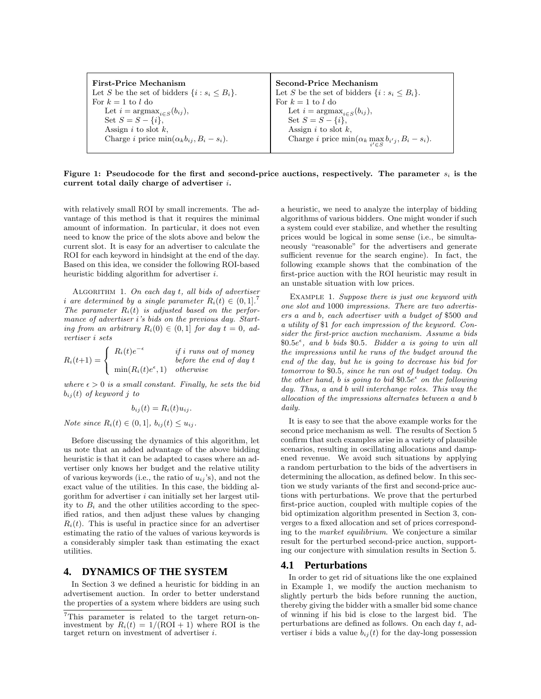| <b>First-Price Mechanism</b>                               | Second-Price Mechanism                                                      |
|------------------------------------------------------------|-----------------------------------------------------------------------------|
| Let S be the set of bidders $\{i : s_i \leq B_i\}.$        | Let S be the set of bidders $\{i : s_i \leq B_i\}.$                         |
| For $k = 1$ to l do                                        | For $k = 1$ to l do                                                         |
| Let $i = \text{argmax}_{i \in S}(b_{ij}),$                 | Let $i = \text{argmax}_{i \in S}(b_{ij}),$                                  |
| Set $S = S - \{i\}$ ,                                      | Set $S = S - \{i\}$ ,                                                       |
| Assign $i$ to slot $k$ ,                                   | Assign i to slot k,                                                         |
| Charge <i>i</i> price $\min(\alpha_k b_{ij}, B_i - s_i)$ . | Charge <i>i</i> price $\min(\alpha_k \max_{i' \in S} b_{i'j}, B_i - s_i)$ . |
|                                                            |                                                                             |

Figure 1: Pseudocode for the first and second-price auctions, respectively. The parameter  $s_i$  is the current total daily charge of advertiser i.

with relatively small ROI by small increments. The advantage of this method is that it requires the minimal amount of information. In particular, it does not even need to know the price of the slots above and below the current slot. It is easy for an advertiser to calculate the ROI for each keyword in hindsight at the end of the day. Based on this idea, we consider the following ROI-based heuristic bidding algorithm for advertiser i.

ALGORITHM 1. On each day  $t$ , all bids of advertiser i are determined by a single parameter  $R_i(t) \in (0,1]$ . The parameter  $R_i(t)$  is adjusted based on the performance of advertiser i's bids on the previous day. Starting from an arbitrary  $R_i(0) \in (0,1]$  for day  $t = 0$ , advertiser i sets

 $R_i(t+1) =$ IJ  $\sqrt{ }$  $\mathcal{L}$  $R_i(t)e^{-\epsilon}$  if i runs out of money before the end of day t  $min(R_i(t)e^{\epsilon}, 1)$  otherwise

where  $\epsilon > 0$  is a small constant. Finally, he sets the bid  $b_{ij}(t)$  of keyword j to

$$
b_{ij}(t) = R_i(t)u_{ij}.
$$

Note since  $R_i(t) \in (0,1], b_{ij}(t) \leq u_{ij}$ .

Before discussing the dynamics of this algorithm, let us note that an added advantage of the above bidding heuristic is that it can be adapted to cases where an advertiser only knows her budget and the relative utility of various keywords (i.e., the ratio of  $u_{ij}$ 's), and not the exact value of the utilities. In this case, the bidding algorithm for advertiser  $i$  can initially set her largest utility to  $B_i$  and the other utilities according to the specified ratios, and then adjust these values by changing  $R_i(t)$ . This is useful in practice since for an advertiser estimating the ratio of the values of various keywords is a considerably simpler task than estimating the exact utilities.

#### **4. DYNAMICS OF THE SYSTEM**

In Section 3 we defined a heuristic for bidding in an advertisement auction. In order to better understand the properties of a system where bidders are using such

a heuristic, we need to analyze the interplay of bidding algorithms of various bidders. One might wonder if such a system could ever stabilize, and whether the resulting prices would be logical in some sense (i.e., be simultaneously "reasonable" for the advertisers and generate sufficient revenue for the search engine). In fact, the following example shows that the combination of the first-price auction with the ROI heuristic may result in an unstable situation with low prices.

EXAMPLE 1. Suppose there is just one keyword with one slot and 1000 impressions. There are two advertisers a and b, each advertiser with a budget of \$500 and a utility of \$1 for each impression of the keyword. Consider the first-price auction mechanism. Assume a bids  $$0.5e^{\epsilon}$, and b bids $0.5. Bidders a is going to win all$ the impressions until he runs of the budget around the end of the day, but he is going to decrease his bid for tomorrow to \$0.5, since he ran out of budget today. On the other hand, b is going to bid  $0.5e^{\epsilon}$  on the following day. Thus, a and b will interchange roles. This way the allocation of the impressions alternates between a and b daily.

It is easy to see that the above example works for the second price mechanism as well. The results of Section 5 confirm that such examples arise in a variety of plausible scenarios, resulting in oscillating allocations and dampened revenue. We avoid such situations by applying a random perturbation to the bids of the advertisers in determining the allocation, as defined below. In this section we study variants of the first and second-price auctions with perturbations. We prove that the perturbed first-price auction, coupled with multiple copies of the bid optimization algorithm presented in Section 3, converges to a fixed allocation and set of prices corresponding to the market equilibrium. We conjecture a similar result for the perturbed second-price auction, supporting our conjecture with simulation results in Section 5.

#### **4.1 Perturbations**

In order to get rid of situations like the one explained in Example 1, we modify the auction mechanism to slightly perturb the bids before running the auction, thereby giving the bidder with a smaller bid some chance of winning if his bid is close to the largest bid. The perturbations are defined as follows. On each day  $t$ , advertiser *i* bids a value  $b_{ij}(t)$  for the day-long possession

<sup>7</sup>This parameter is related to the target return-oninvestment by  $R_i(t) = 1/(\text{ROI} + 1)$  where ROI is the target return on investment of advertiser i.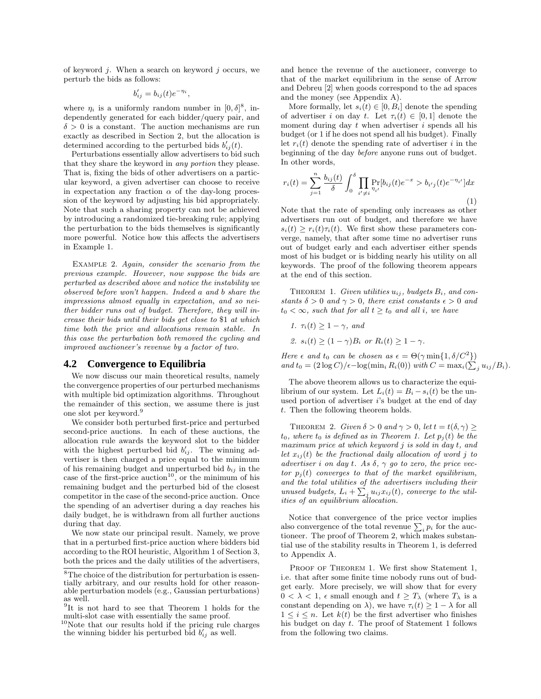of keyword  $i$ . When a search on keyword  $i$  occurs, we perturb the bids as follows:

$$
b'_{ij} = b_{ij}(t)e^{-\eta_i},
$$

where  $\eta_i$  is a uniformly random number in  $[0,\delta]^8$ , independently generated for each bidder/query pair, and  $\delta > 0$  is a constant. The auction mechanisms are run exactly as described in Section 2, but the allocation is determined according to the perturbed bids  $b'_{ij}(t)$ .

Perturbations essentially allow advertisers to bid such that they share the keyword in any portion they please. That is, fixing the bids of other advertisers on a particular keyword, a given advertiser can choose to receive in expectation any fraction  $\alpha$  of the day-long procession of the keyword by adjusting his bid appropriately. Note that such a sharing property can not be achieved by introducing a randomized tie-breaking rule; applying the perturbation to the bids themselves is significantly more powerful. Notice how this affects the advertisers in Example 1.

EXAMPLE 2. Again, consider the scenario from the previous example. However, now suppose the bids are perturbed as described above and notice the instability we observed before won't happen. Indeed a and b share the impressions almost equally in expectation, and so neither bidder runs out of budget. Therefore, they will increase their bids until their bids get close to \$1 at which time both the price and allocations remain stable. In this case the perturbation both removed the cycling and improved auctioneer's revenue by a factor of two.

## **4.2 Convergence to Equilibria**

We now discuss our main theoretical results, namely the convergence properties of our perturbed mechanisms with multiple bid optimization algorithms. Throughout the remainder of this section, we assume there is just one slot per keyword.<sup>9</sup>

We consider both perturbed first-price and perturbed second-price auctions. In each of these auctions, the allocation rule awards the keyword slot to the bidder with the highest perturbed bid  $b'_{ij}$ . The winning advertiser is then charged a price equal to the minimum of his remaining budget and unperturbed bid  $b_{ij}$  in the case of the first-price auction<sup>10</sup>, or the minimum of his remaining budget and the perturbed bid of the closest competitor in the case of the second-price auction. Once the spending of an advertiser during a day reaches his daily budget, he is withdrawn from all further auctions during that day.

We now state our principal result. Namely, we prove that in a perturbed first-price auction where bidders bid according to the ROI heuristic, Algorithm 1 of Section 3, both the prices and the daily utilities of the advertisers, and hence the revenue of the auctioneer, converge to that of the market equilibrium in the sense of Arrow and Debreu [2] when goods correspond to the ad spaces and the money (see Appendix A).

More formally, let  $s_i(t) \in [0, B_i]$  denote the spending of advertiser i on day t. Let  $\tau_i(t) \in [0,1]$  denote the moment during day  $t$  when advertiser  $i$  spends all his budget (or 1 if he does not spend all his budget). Finally let  $r_i(t)$  denote the spending rate of advertiser i in the beginning of the day before anyone runs out of budget. In other words,

$$
r_i(t) = \sum_{j=1}^n \frac{b_{ij}(t)}{\delta} \int_0^\delta \prod_{i' \neq i} \Pr_{\eta_{i'}}[b_{ij}(t)e^{-x} > b_{i'j}(t)e^{-\eta_{i'}}]dx
$$
\n(1)

Note that the rate of spending only increases as other advertisers run out of budget, and therefore we have  $s_i(t) \geq r_i(t)\tau_i(t)$ . We first show these parameters converge, namely, that after some time no advertiser runs out of budget early and each advertiser either spends most of his budget or is bidding nearly his utility on all keywords. The proof of the following theorem appears at the end of this section.

THEOREM 1. Given utilities  $u_{ij}$ , budgets  $B_i$ , and constants  $\delta > 0$  and  $\gamma > 0$ , there exist constants  $\epsilon > 0$  and  $t_0 < \infty$ , such that for all  $t \geq t_0$  and all i, we have

1. 
$$
\tau_i(t) \ge 1 - \gamma
$$
, and  
2.  $s_i(t) \ge (1 - \gamma)B_i$  or  $R_i(t) \ge 1 - \gamma$ .

Here  $\epsilon$  and  $t_0$  can be chosen as  $\epsilon = \Theta(\gamma \min\{1, \delta/C^2\})$ and  $t_0 = (2 \log C)/\epsilon - \log(\min_i R_i(0))$  with  $C = \max_i (\sum_j u_{ij}/B_i)$ .

The above theorem allows us to characterize the equilibrium of our system. Let  $L_i(t) = B_i - s_i(t)$  be the unused portion of advertiser  $i$ 's budget at the end of day t. Then the following theorem holds.

THEOREM 2. Given  $\delta > 0$  and  $\gamma > 0$ , let  $t = t(\delta, \gamma) \ge$  $t_0$ , where  $t_0$  is defined as in Theorem 1. Let  $p_j(t)$  be the maximum price at which keyword j is sold in day t, and let  $x_{ij}(t)$  be the fractional daily allocation of word j to advertiser i on day t. As  $\delta$ ,  $\gamma$  go to zero, the price vector  $p_i(t)$  converges to that of the market equilibrium, and the total utilities of the advertisers including their unused budgets,  $L_i + \sum_j u_{ij} x_{ij}(t)$ , converge to the utilities of an equilibrium allocation.

Notice that convergence of the price vector implies Notice that convergence of the price vector implies<br>also convergence of the total revenue  $\sum_i p_i$  for the auctioneer. The proof of Theorem 2, which makes substantial use of the stability results in Theorem 1, is deferred to Appendix A.

PROOF OF THEOREM 1. We first show Statement 1, i.e. that after some finite time nobody runs out of budget early. More precisely, we will show that for every  $0 < \lambda < 1$ ,  $\epsilon$  small enough and  $t \geq T_{\lambda}$  (where  $T_{\lambda}$  is a constant depending on  $\lambda$ ), we have  $\tau_i(t) \geq 1 - \lambda$  for all  $1 \leq i \leq n$ . Let  $k(t)$  be the first advertiser who finishes his budget on day t. The proof of Statement 1 follows from the following two claims.

<sup>8</sup>The choice of the distribution for perturbation is essentially arbitrary, and our results hold for other reasonable perturbation models (e.g., Gaussian perturbations) as well.

<sup>&</sup>lt;sup>9</sup>It is not hard to see that Theorem 1 holds for the multi-slot case with essentially the same proof.

<sup>10</sup>Note that our results hold if the pricing rule charges the winning bidder his perturbed bid  $b'_{ij}$  as well.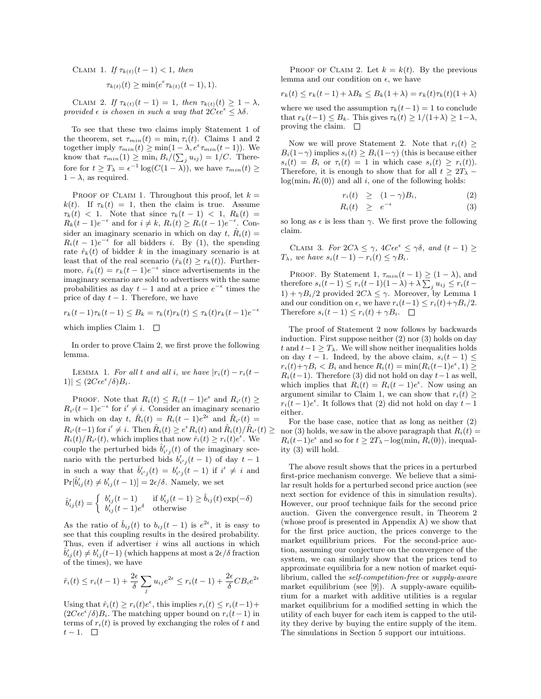CLAIM 1. If  $\tau_{k(t)}(t-1) < 1$ , then  $\tau_{k(t)}(t) \geq \min(e^{\epsilon} \tau_{k(t)}(t-1), 1).$ 

CLAIM 2. If  $\tau_{k(t)}(t-1) = 1$ , then  $\tau_{k(t)}(t) \geq 1 - \lambda$ , provided  $\epsilon$  is chosen in such a way that  $2C\epsilon e^{\epsilon} \leq \lambda \delta$ .

To see that these two claims imply Statement 1 of the theorem, set  $\tau_{min}(t) = \min_i \tau_i(t)$ . Claims 1 and 2 together imply  $\tau_{min}(t) \geq \min(1 - \lambda, e^{\epsilon} \tau_{min}(t-1)).$  We together imply  $\tau_{min}(t) \ge \min_i (1 - k)$  $(u_{ij}) = 1/C$ . Therefore for  $t \geq T_{\lambda} = \epsilon^{-1} \log(C(1 - \lambda))$ , we have  $\tau_{min}(t) \geq$  $1 - \lambda$ , as required.

PROOF OF CLAIM 1. Throughout this proof, let  $k =$ k(t). If  $\tau_k(t) = 1$ , then the claim is true. Assume  $\tau_k(t)$  < 1. Note that since  $\tau_k(t-1)$  < 1,  $R_k(t)$  =  $R_k(t-1)e^{-\epsilon}$  and for  $i \neq k$ ,  $R_i(t) \geq R_i(t-1)e^{-\epsilon}$ . Consider an imaginary scenario in which on day t,  $\hat{R}_i(t) =$  $R_i(t-1)e^{-\epsilon}$  for all bidders *i*. By (1), the spending rate  $\hat{r}_k(t)$  of bidder k in the imaginary scenario is at least that of the real scenario  $(\hat{r}_k(t) > r_k(t))$ . Furthermore,  $\hat{r}_k(t) = r_k(t-1)e^{-\epsilon}$  since advertisements in the imaginary scenario are sold to advertisers with the same probabilities as day  $t-1$  and at a price  $e^{-\epsilon}$  times the price of day  $t - 1$ . Therefore, we have

$$
r_k(t-1)\tau_k(t-1) \leq B_k = \tau_k(t)r_k(t) \leq \tau_k(t)r_k(t-1)e^{-\epsilon}
$$

which implies Claim 1.  $\square$ 

In order to prove Claim 2, we first prove the following lemma.

LEMMA 1. For all t and all i, we have  $|r_i(t) - r_i(t |1\rangle \leq (2C\epsilon e^{\epsilon}/\delta)B_i.$ 

PROOF. Note that  $R_i(t) \leq R_i(t-1)e^{\epsilon}$  and  $R_{i'}(t) \geq$  $R_{i'}(t-1)e^{-\epsilon}$  for  $i' \neq i$ . Consider an imaginary scenario in which on day t,  $\hat{R}_i(t) = R_i(t-1)e^{2\epsilon}$  and  $\hat{R}_{i'}(t) =$  $R_{i'}(t-1)$  for  $i' \neq i$ . Then  $\hat{R}_i(t) \geq e^{\epsilon} R_i(t)$  and  $\hat{R}_i(t)/\hat{R}_{i'}(t) \geq$  $R_i(t)/R_{i'}(t)$ , which implies that now  $\hat{r}_i(t) \ge r_i(t)e^{\epsilon}$ . We couple the perturbed bids  $\hat{b}'_{i'j}(t)$  of the imaginary scenario with the perturbed bids  $b'_{i'j}(t-1)$  of day  $t-1$ in such a way that  $\hat{b}'_{i'j}(t) = b'_{i'j}(t-1)$  if  $i' \neq i$  and  $\Pr[\hat{b}'_{ij}(t) \neq b'_{ij}(t-1)] = 2\epsilon/\delta.$  Namely, we set

$$
\hat{b}'_{ij}(t) = \begin{cases} b'_{ij}(t-1) & \text{if } b'_{ij}(t-1) \ge \hat{b}_{ij}(t) \exp(-\delta) \\ b'_{ij}(t-1)e^{\delta} & \text{otherwise} \end{cases}
$$

As the ratio of  $\hat{b}_{ij}(t)$  to  $b_{ij}(t-1)$  is  $e^{2\epsilon}$ , it is easy to see that this coupling results in the desired probability. Thus, even if advertiser  $i$  wins all auctions in which  $\hat{b}'_{ij}(t) \neq b'_{ij}(t-1)$  (which happens at most a  $2\epsilon/\delta$  fraction of the times), we have

$$
\hat{r}_i(t) \le r_i(t-1) + \frac{2\epsilon}{\delta} \sum_j u_{ij} e^{2\epsilon} \le r_i(t-1) + \frac{2\epsilon}{\delta} C B_i e^{2\epsilon}
$$

Using that  $\hat{r}_i(t) \geq r_i(t)e^{\epsilon}$ , this implies  $r_i(t) \leq r_i(t-1) +$  $(2C\epsilon e^{\epsilon}/\delta)B_i$ . The matching upper bound on  $r_i(t-1)$  in terms of  $r_i(t)$  is proved by exchanging the roles of t and  $t-1.$  □

PROOF OF CLAIM 2. Let  $k = k(t)$ . By the previous lemma and our condition on  $\epsilon$ , we have

$$
r_k(t) \le r_k(t-1) + \lambda B_k \le B_k(1+\lambda) = r_k(t)\tau_k(t)(1+\lambda)
$$

where we used the assumption  $\tau_k(t-1) = 1$  to conclude that  $r_k(t-1) \leq B_k$ . This gives  $\tau_k(t) \geq 1/(1+\lambda) \geq 1-\lambda$ , proving the claim.  $\square$ 

Now we will prove Statement 2. Note that  $r_i(t) \geq$  $B_i(1-\gamma)$  implies  $s_i(t) \geq B_i(1-\gamma)$  (this is because either  $s_i(t) = B_i$  or  $\tau_i(t) = 1$  in which case  $s_i(t) \geq r_i(t)$ . Therefore, it is enough to show that for all  $t \geq 2T_{\lambda}$  –  $log(min_i R_i(0))$  and all i, one of the following holds:

$$
r_i(t) \geq (1 - \gamma)B_i, \tag{2}
$$

$$
R_i(t) \geq e^{-\epsilon} \tag{3}
$$

so long as  $\epsilon$  is less than  $\gamma$ . We first prove the following claim.

CLAIM 3. For  $2C\lambda \leq \gamma$ ,  $4C\epsilon e^{\epsilon} \leq \gamma \delta$ , and  $(t-1) \geq$  $T_{\lambda}$ , we have  $s_i(t-1) - r_i(t) \leq \gamma B_i$ .

PROOF. By Statement 1,  $\tau_{min}(t-1) \geq (1-\lambda)$ , and PROOF. By Statement 1,  $\tau_{min}(t-1) \ge$ <br>therefore  $s_i(t-1) \leq r_i(t-1)(1-\lambda) + \lambda \sum$  $_{j} u_{ij} \leq r_i(t 1) + \gamma B_i/2$  provided  $2C\lambda \leq \gamma$ . Moreover, by Lemma 1 and our condition on  $\epsilon$ , we have  $r_i(t-1) \leq r_i(t)+\gamma B_i/2$ . Therefore  $s_i(t-1) \leq r_i(t) + \gamma B_i$ .  $\Box$ 

The proof of Statement 2 now follows by backwards induction. First suppose neither (2) nor (3) holds on day t and  $t-1 \geq T_{\lambda}$ . We will show neither inequalities holds on day  $t - 1$ . Indeed, by the above claim,  $s_i(t - 1) \leq$  $r_i(t) + \gamma B_i < B_i$  and hence  $R_i(t) = \min(R_i(t-1)e^{\epsilon}, 1) \ge$  $R_i(t-1)$ . Therefore (3) did not hold on day  $t-1$  as well, which implies that  $R_i(t) = R_i(t-1)e^{\epsilon}$ . Now using an argument similar to Claim 1, we can show that  $r_i(t) \geq$  $r_i(t-1)e^{\epsilon}$ . It follows that (2) did not hold on day  $t-1$ either.

For the base case, notice that as long as neither (2) nor (3) holds, we saw in the above paragraph that  $R_i(t) =$  $R_i(t-1)e^{\epsilon}$  and so for  $t \geq 2T_{\lambda} - \log(\min_i R_i(0)),$  inequality (3) will hold.

The above result shows that the prices in a perturbed first-price mechanism converge. We believe that a similar result holds for a perturbed second price auction (see next section for evidence of this in simulation results). However, our proof technique fails for the second price auction. Given the convergence result, in Theorem 2 (whose proof is presented in Appendix A) we show that for the first price auction, the prices converge to the market equilibrium prices. For the second-price auction, assuming our conjecture on the convergence of the system, we can similarly show that the prices tend to approximate equilibria for a new notion of market equilibrium, called the self-competition-free or supply-aware market equilibrium (see [9]). A supply-aware equilibrium for a market with additive utilities is a regular market equilibrium for a modified setting in which the utility of each buyer for each item is capped to the utility they derive by buying the entire supply of the item. The simulations in Section 5 support our intuitions.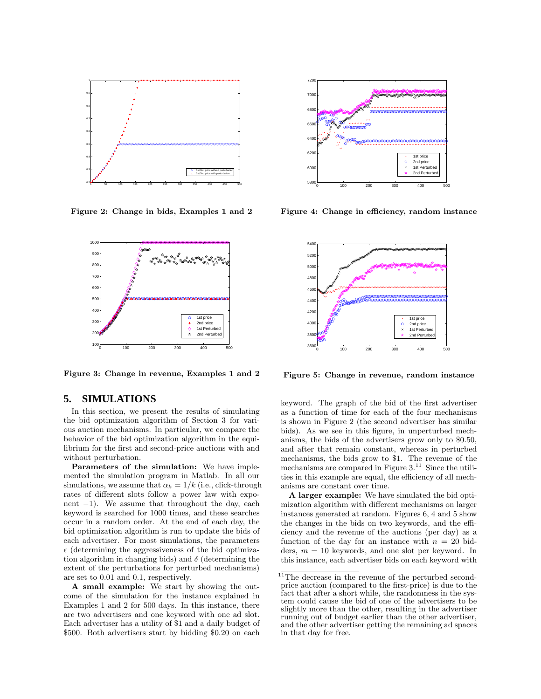

Figure 2: Change in bids, Examples 1 and 2



Figure 3: Change in revenue, Examples 1 and 2

## **5. SIMULATIONS**

In this section, we present the results of simulating the bid optimization algorithm of Section 3 for various auction mechanisms. In particular, we compare the behavior of the bid optimization algorithm in the equilibrium for the first and second-price auctions with and without perturbation.

Parameters of the simulation: We have implemented the simulation program in Matlab. In all our simulations, we assume that  $\alpha_k = 1/k$  (i.e., click-through rates of different slots follow a power law with exponent  $-1$ ). We assume that throughout the day, each keyword is searched for 1000 times, and these searches occur in a random order. At the end of each day, the bid optimization algorithm is run to update the bids of each advertiser. For most simulations, the parameters  $\epsilon$  (determining the aggressiveness of the bid optimization algorithm in changing bids) and  $\delta$  (determining the extent of the perturbations for perturbed mechanisms) are set to 0.01 and 0.1, respectively.

A small example: We start by showing the outcome of the simulation for the instance explained in Examples 1 and 2 for 500 days. In this instance, there are two advertisers and one keyword with one ad slot. Each advertiser has a utility of \$1 and a daily budget of \$500. Both advertisers start by bidding \$0.20 on each



Figure 4: Change in efficiency, random instance



Figure 5: Change in revenue, random instance

keyword. The graph of the bid of the first advertiser as a function of time for each of the four mechanisms is shown in Figure 2 (the second advertiser has similar bids). As we see in this figure, in unperturbed mechanisms, the bids of the advertisers grow only to \$0.50, and after that remain constant, whereas in perturbed mechanisms, the bids grow to \$1. The revenue of the mechanisms are compared in Figure  $3.^{11}$  Since the utilities in this example are equal, the efficiency of all mechanisms are constant over time.

A larger example: We have simulated the bid optimization algorithm with different mechanisms on larger instances generated at random. Figures 6, 4 and 5 show the changes in the bids on two keywords, and the efficiency and the revenue of the auctions (per day) as a function of the day for an instance with  $n = 20$  bidders,  $m = 10$  keywords, and one slot per keyword. In this instance, each advertiser bids on each keyword with

 $^{11}{\rm The}$  decrease in the revenue of the perturbed secondprice auction (compared to the first-price) is due to the fact that after a short while, the randomness in the system could cause the bid of one of the advertisers to be slightly more than the other, resulting in the advertiser running out of budget earlier than the other advertiser, and the other advertiser getting the remaining ad spaces in that day for free.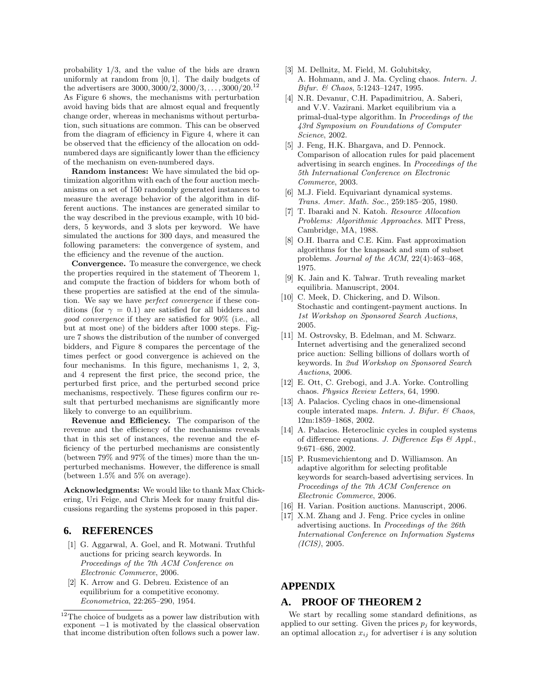probability 1/3, and the value of the bids are drawn uniformly at random from  $[0, 1]$ . The daily budgets of the advertisers are  $3000, 3000/2, 3000/3, \ldots, 3000/20$ .<sup>12</sup> As Figure 6 shows, the mechanisms with perturbation avoid having bids that are almost equal and frequently change order, whereas in mechanisms without perturbation, such situations are common. This can be observed from the diagram of efficiency in Figure 4, where it can be observed that the efficiency of the allocation on oddnumbered days are significantly lower than the efficiency of the mechanism on even-numbered days.

Random instances: We have simulated the bid optimization algorithm with each of the four auction mechanisms on a set of 150 randomly generated instances to measure the average behavior of the algorithm in different auctions. The instances are generated similar to the way described in the previous example, with 10 bidders, 5 keywords, and 3 slots per keyword. We have simulated the auctions for 300 days, and measured the following parameters: the convergence of system, and the efficiency and the revenue of the auction.

Convergence. To measure the convergence, we check the properties required in the statement of Theorem 1, and compute the fraction of bidders for whom both of these properties are satisfied at the end of the simulation. We say we have perfect convergence if these conditions (for  $\gamma = 0.1$ ) are satisfied for all bidders and good convergence if they are satisfied for 90% (i.e., all but at most one) of the bidders after 1000 steps. Figure 7 shows the distribution of the number of converged bidders, and Figure 8 compares the percentage of the times perfect or good convergence is achieved on the four mechanisms. In this figure, mechanisms 1, 2, 3, and 4 represent the first price, the second price, the perturbed first price, and the perturbed second price mechanisms, respectively. These figures confirm our result that perturbed mechanisms are significantly more likely to converge to an equilibrium.

Revenue and Efficiency. The comparison of the revenue and the efficiency of the mechanisms reveals that in this set of instances, the revenue and the efficiency of the perturbed mechanisms are consistently (between 79% and 97% of the times) more than the unperturbed mechanisms. However, the difference is small (between 1.5% and 5% on average).

Acknowledgments: We would like to thank Max Chickering, Uri Feige, and Chris Meek for many fruitful discussions regarding the systems proposed in this paper.

## **6. REFERENCES**

- [1] G. Aggarwal, A. Goel, and R. Motwani. Truthful auctions for pricing search keywords. In Proceedings of the 7th ACM Conference on Electronic Commerce, 2006.
- [2] K. Arrow and G. Debreu. Existence of an equilibrium for a competitive economy. Econometrica, 22:265–290, 1954.
- [3] M. Dellnitz, M. Field, M. Golubitsky, A. Hohmann, and J. Ma. Cycling chaos. Intern. J. Bifur. & Chaos, 5:1243–1247, 1995.
- [4] N.R. Devanur, C.H. Papadimitriou, A. Saberi, and V.V. Vazirani. Market equilibrium via a primal-dual-type algorithm. In Proceedings of the 43rd Symposium on Foundations of Computer Science, 2002.
- [5] J. Feng, H.K. Bhargava, and D. Pennock. Comparison of allocation rules for paid placement advertising in search engines. In Proceedings of the 5th International Conference on Electronic Commerce, 2003.
- [6] M.J. Field. Equivariant dynamical systems. Trans. Amer. Math. Soc., 259:185–205, 1980.
- [7] T. Ibaraki and N. Katoh. Resource Allocation Problems: Algorithmic Approaches. MIT Press, Cambridge, MA, 1988.
- [8] O.H. Ibarra and C.E. Kim. Fast approximation algorithms for the knapsack and sum of subset problems. Journal of the ACM, 22(4):463–468, 1975.
- [9] K. Jain and K. Talwar. Truth revealing market equilibria. Manuscript, 2004.
- [10] C. Meek, D. Chickering, and D. Wilson. Stochastic and contingent-payment auctions. In 1st Workshop on Sponsored Search Auctions, 2005.
- [11] M. Ostrovsky, B. Edelman, and M. Schwarz. Internet advertising and the generalized second price auction: Selling billions of dollars worth of keywords. In 2nd Workshop on Sponsored Search Auctions, 2006.
- [12] E. Ott, C. Grebogi, and J.A. Yorke. Controlling chaos. Physics Review Letters, 64, 1990.
- [13] A. Palacios. Cycling chaos in one-dimensional couple interated maps. Intern. J. Bifur.  $\mathcal C$  Chaos, 12m:1859–1868, 2002.
- [14] A. Palacios. Heteroclinic cycles in coupled systems of difference equations. J. Difference Eqs  $\mathcal{B}$  Appl., 9:671–686, 2002.
- [15] P. Rusmevichientong and D. Williamson. An adaptive algorithm for selecting profitable keywords for search-based advertising services. In Proceedings of the 7th ACM Conference on Electronic Commerce, 2006.
- [16] H. Varian. Position auctions. Manuscript, 2006.
- [17] X.M. Zhang and J. Feng. Price cycles in online advertising auctions. In Proceedings of the 26th International Conference on Information Systems (ICIS), 2005.

## **APPENDIX**

## **A. PROOF OF THEOREM 2**

We start by recalling some standard definitions, as applied to our setting. Given the prices  $p_i$  for keywords, an optimal allocation  $x_{ij}$  for advertiser i is any solution

 $^{12}{\rm The}$  choice of budgets as a power law distribution with exponent  $-1$  is motivated by the classical observation that income distribution often follows such a power law.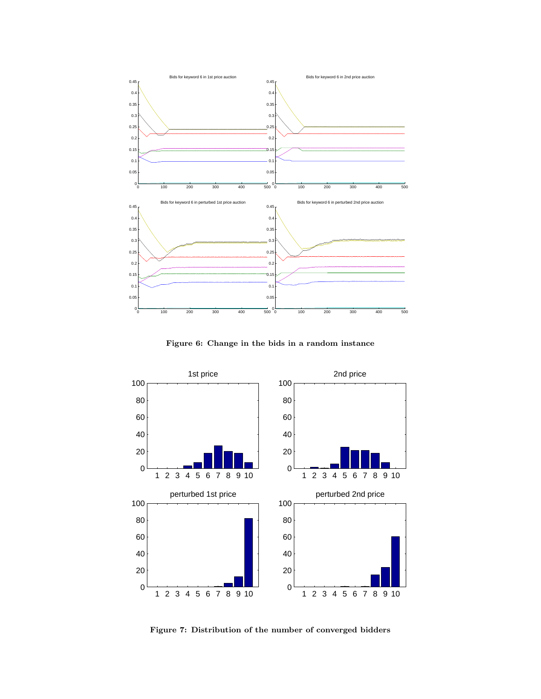

Figure 6: Change in the bids in a random instance



Figure 7: Distribution of the number of converged bidders